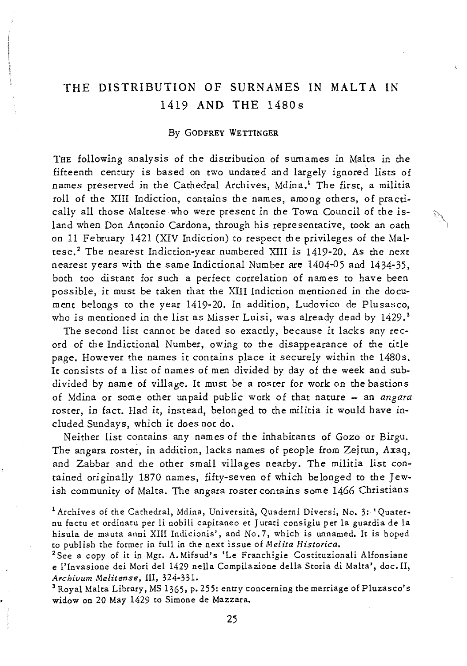## THE DISTRIBUTION OF SURNAMES IN MALTA IN 1419 AND THE 1480s

## By GODFREY WETTINGER

THE following analysis of the distribution of sumames in Malta in the fifteenth century is based on two undated and largely ignored lists of names preserved in the Cathedral Archives, Mdina.<sup>1</sup> The first, a militia roll of the XIII Indiction, contains the names, among others, of practically all those Maltese who were present in the Town Council of the island when Don Antonio Cardona, through his representative, took an oath on 11 February 1421 (XIV Indiction) to respect the privileges of the Maltese. 2 The nearest Indiction-year numbered XIII is 1419-20. As the next nearest years with the same Indictional Number are 1404-05 and 1434-35, both too distant for such a perfect correlation of names to have been possible, *it* must be taken that the XIII Indiction mentioned in the document belongs to the year 1419-20. In addition, Ludovico de Plusasco, who is mentioned in the list as Misser Luisi, was already dead by 1429.<sup>3</sup>

The second list cannot be dated so exactly, because it lacks any record of the Indictional Number, owing to the disappearance of the title page. However the names it contains place it securely within the 1480s. It consists of a list of names of men divided by day of the week and subdivided by name of village. It must be a roster for work on the bastions of Mdina or some other unpaid public work of that nature  $-$  an angara roster, in fact. Had *it,* instead, belonged to the militia it would have included Sundays, which it does not do.

Neither list contains any names of the inhabitants of Gozo or Birgu. The angara roster, in addition, lacks names of people from Zejtun, Axaq, and Zabbar and the other small villages nearby. The militia list contained originally 1870 names, fifty-seven of which belonged to the Jewish community of Malta. The angara roster contains some 1466 Christians

1 Archives of the Cathedral, Mdina, Universita, Quaderni Diversi, No. 3:' Quaternu factu et ordinatu per li nobili capitaneo et J urati cons iglu per la guardia de la his~la de mauta anni XIII Indicionis', and No. 7, which *is* unnamed. It *is* hoped to publish the former in full in the next issue of *Melita Historica.* 

2 See a copy of it in Mgr. A. Mifsud's 'Le Franchigie Costituzionali Alfonsiane e l'Invasione dei Mori del 1429 nella Compilazione della Storia di Malta', doe. !I, *Archivum Melitense,* Ill, 324-331.

<sup>3</sup> Royal Malta Library, MS 1365, p. 255: entry concerning the marriage of Pluzasco's widow on 20 May 1429 to Simone de Mazzara.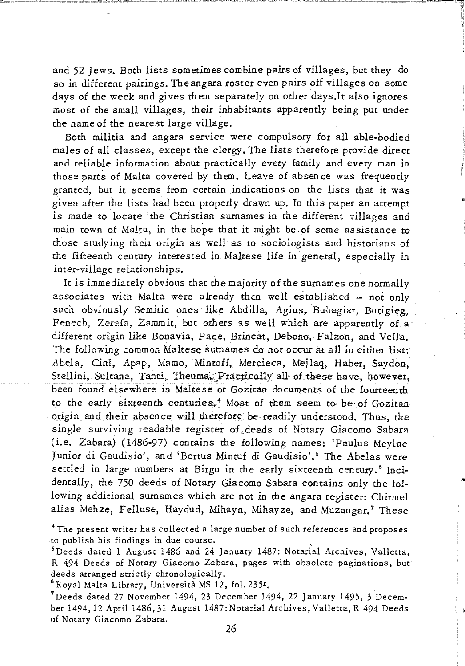and 52 Jews. Both lists sometimes combine pairs of villages, but they do so in different pairings. Theangara roster even pairs off villages on some days of the week and gives them separately on other days.It also ignores most of the small villages, their inhabitants apparently being put under the name of the nearest large village.

Both militia and angara service were compulsory for all able-bodied males of all classes, except the clergy. The lists thetefore provide direct and reliable information about practically every family and every man in those parts of Malta covered by them. Leave of absen ce was frequently granted, but *it* seems from certain indications on the lists that *it* was given after the lists had been properly drawn up. In this paper an attempt is made to locate the Christian surnames in the different villages and main town of Malta, in the hope that *it* might be of some assistance to those studying their origin as well as to sociologists and historians of the fifteenth century interested in Maltese life in general, especially in inter-village relationships.

It *is* immediately obvious that the majority of the sumames one normally associates with Malta were already then well established - not only such obviously Semitic ones like Abdilla, Agius, Buhagiar, Butigieg, Fenech, Zerafa, Zammit, but others as well which are apparently of a different origin like Bonavia, Pace, Brincat, Debono, Faizon, and VeUa. The following common Maltese surnames do not occur at all in either list: Abela, Cini, Apap, Mamo, Mintoff, Mercieca, Mej laq, Haber, Saydon, Stellini, Sultana, Tanti, Theuma, Practically all of these have, however, been found elsewhere in Maltese or Gozitan documents of the fourteenth to the early sixteenth centuries.<sup>4</sup> Most of them seem to be of Gozitan origin and their absence will therefore be readily understood. Thus, the, single surviving readable register of deeds of Notary Giacomo Sabara (i.e. Zabara) (1486-97) contains the following names: 'Paulus Meylac Junior di Gaudisio', and 'Bertus Mintuf di Gaudisio'.<sup>5</sup> The Abelas were settled in large numbers at Birgu in the early sixteenth century.<sup>6</sup> Incidentally, the 750 deeds of Notary Giacomo Sabara contains only the following additional surnames which are not in the angara register: Chirmel alias Mehze, Felluse, Haydud, Mihayn, Mihayze, and Muzangar.<sup>7</sup> These

4 The present writer has collected a large number of such references and proposes to publish his findings in due course, .

5Deeds dated 1 August 1486 and 24 January 1487: Notarial Archives, Valletta, R 494 Deeds of Notary Giacomo Zabara, pages with obsolete paginations, but deeds arranged strictly chronologically,

6 Royal Malta Library, Universita MS 12, fo1. 235r•

7Deeds dated 27 November 1494, 23 December 1494, 22 January 1495, 3 December 1494,12 April 1486,31 August 1487: Notarial Archives, Valletta, R 494 Deeds of Notary Giacomo Zabara.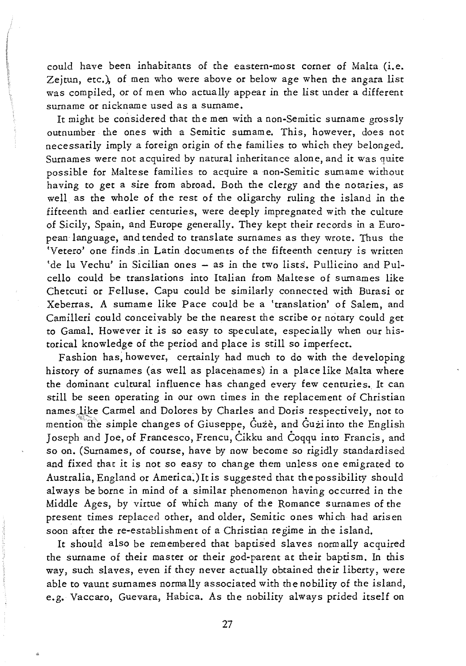could have been inhabitants of the eastern-most corner of Malta (i.e. Zejtun, etc.), of men who were above or below age when the angara list was compiled, or of men who actually appear in the list under a different surname or nickname used as a surname.

It might be considered that the men with a non-Semitic surname grossly outnumber the ones with a Semitic surname. This, however, does not necessarily imply a foreign origin of the families to which they belonged. Surnames were not acquired by natural inheritance alone, and it was quite possible for Maltese families to acquire a non-Semitic surname without having to get a sire from abroad. Both the clergy and the notaries, as well as the whole of the rest of the oligarchy ruling the island in the fifteenth and earlier centuries, were deeply impregnated with the culture of Sicily, Spain, and Europe generally. They kept their records in a European language, and tended to translate surnames as they wrote. Thus the 'Vetero' one finds.in Latin documents of the fifteenth century is written 'de lu Vechu' in Sicilian ones - as in the two lists. Pullicino and Pulcello could be translations into Italian from Maltese of surnames like Chetcuti or Felluse. Capu could be similarly connected with Burasi or Xeberras. A surname like Pace could be a 'translation' of Salem, and Camilleri could conceivably be the nearest the scribe or notary could get to Gama!. However it is so easy to speculate, especially when our historical knowledge of the period and place *is* still so imperfect.

Fashion has, however, certainly had much to do with the developing history of surnames (as well as placehames) in a place like Malta where the dominant cultural influence has changed every few centuries., It can still be seen operating in our own times in the replacement of Christian names like Carmel and Dolores by Charles and Doris respectively, not to mention the simple changes of Giuseppe, Guze, and Guzi into the English Joseph and Joe, of Francesco, Frencu, Cikku and Coqqu into Francis, and so on. (Surnames, of course, have by now become so rigidly standardised and fixed that *it* is not so easy to change them unless one emigrated to Australia, England or America:) It is suggested that the possibility should always be borne in mind of a similar phenomenon having occurred in the Middle Ages, by virtue of which many of the Romance surnames of the present times replaced other, and older, *Semitic* ones which had arisen soon after the re-establishment of a Christian regime in the island.

It should also be remembered that baptised slaves normally acquired the surname of their master or their god-parent at their baptism. In this way, such slaves, even if they never actually obtained their liberty, were able to vaunt surnames normally associated with the nobility of the island, e.g. Vaccaro, Guevara, Habica. As the nobility always prided itself on

27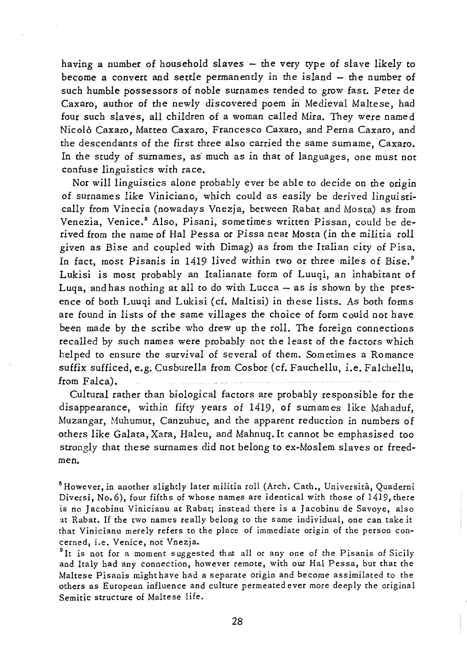having a number of household slaves - the very type of slave likely to become a convert and settle permanently in the island - the number of such humble possessors of noble surnames tended to grow fast. Peter de Caxaro, author of the newly discovered poem in Medieval Maltese, had four such slaves, all children of a woman called Mira. They were named Nicolò Caxaro, Matteo Caxaro, Francesco Caxaro, and Perna Caxaro, and the descendants of the first three also carried the same surname, Caxaro. In the study of surnames, as' much as in that of languages, one must not confuse *linguistics* with race.

Nor will linguistics alone probably ever be able to decide on the origin of surnames like Viniciano, which could as easily be derived linguistically from Vinecia (nowadays Vnezja, between Rabat and Mosta) as from Venezia, Venice.<sup>8</sup> Also, Pisani, sometimes written Pissan, could be derived from the name of Hal Pessa or Pissa near Mosta (in the *militia* roll given as Bise and coupled with Dimag) as from the Italian city of Pisa. In fact, most Pisanis in 1419 lived within two or three miles of Bise.9 Lukisi *is* most probably an Italianate form of Luuqi, an inhabitant of Luqa, and has nothing at all to do with Lucca - as *is* shown by the presence of both Luuqi and Lukisi (cf. Maltisi) in these lists. As both forms are found in lists of the same villages the choice of form could not have been made by the scribe who drew up the roll. The foreign connections recalled by such names were probably not the least of the factors which helped to ensure the survival of several of them. Sometimes a Romance suffix sufficed, e.g. Cusburella from Cosbor (cf. Fauchellu, i.e. Falchellu, from Falca).

Cultural rather than biological factors are probably responsible for the disappearance, within fifty years of 1419, of surnames like Mahaduf, Muzangar, Muhumut, Canzuhuc, and the apparent reduction in numbers of others like Galata, Xara, Haleu, and Mahnuq. It cannot be emphasised too strongly that these surnames did not belong to ex-Moslem slaves or freedmen.

& However, in another slightly later *militia* roll (Arch. Cath., Universita, Quaderni Diversi, No. 6), four fifths of whose names are identical with those of 1419, there is no Jacobinu Vinicianu at Rabat; instead there is a Jacobinu de Savoye, also at Rabat. If the two names really belong to the same individual, one can take it that Vinicianu merely refers to the place of immediate origin of the person concerned, i.e. Venice, not Vnezja.

<sup>9</sup>It is not for a moment suggested that all or any one of the Pisanis of Sicily and Italy had any connection, however remote, with our Hal Pessa, but that the Maltese Pisanis might have had a separate origin and become assimilated to the others as European influence and culture permeated ever more deeply the original Semitic structure of Maltese life.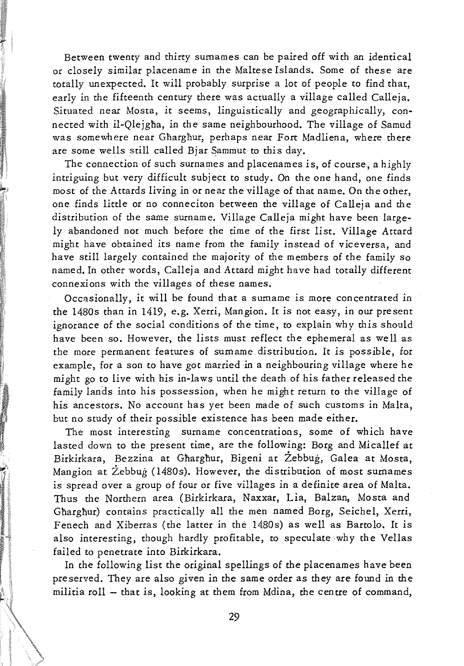Between twenty and thirty surnames can be paired off with an identical or closely similar placename in the Maltese Islands. Some of these are totally unexpected. It will probably surprise a lot of people to find that, early in the fifteenth century there was actually a village called Calleja. Situated near Mosta, it seems, linguistically and geographically, connected with il-Qlejgha, in the same neighbourhood. The village of Samud was somewhere near Gharghur, perhaps near Fort Madliena, where there are some wells still called Bjar Sammut to this day.

The connection of such surnames and placenames is, of course, a highly intriguing but very difficult subject to study. On the one hand, one finds most of the Attards living in or near the village of that name. On the other, one finds little or no conneciton between the village of Calleja and the distribution of the same surname. Village Calleja might have been largely abandoned not much before the time of the first list. Village Attard might have obtained its name from the family instead of viceversa, and have still largely contained the majority of the members of the family so named. In other words, Calleja and Attard might have had totally different connexions with the villages of these names.

Occasionally, it will be found that a surname is more concentrated in the 1480s than in 1419, e.g. Xerri, Mangion. It is not easy, in our present ignorance of the social conditions of the time, to explain why this should have been so. However, the lists must reflect the ephemeral as well as the more permanent features of surname distribution. It is possible, for example, for a son to have got married in a neighbouring village where he might go to live with his in-laws until the death of his father released the family lands into his possession, when he might return to the village of his ancestors. No account has yet been made of such customs in Malta, but no study of their possible existence has been made either.

The most interesting surname concentrations, some of which have lasted down to the present time, are the following: Borg and Micallef at Birkirkara, Bezzina at Gharghur, Bigeni at Zebbug, Galea at Mosta, Mangion at Zebbug (1480s). However, the distribution of most surnames is spread over a group of four or five villages in a definite area of Malta. Thus the Northern area (Birkirkara, Naxxar, Lia, Balzan, Mosta and Gharghur) contains practically all the men named Borg, Seichel, Xerri, Fenech and Xiberras (the latter in the 1480s) as well as Bartolo. It is also interesting, though hardly profitable, to speculate why the Vellas failed to penetrate into Birkirkara.

In the following list the original spellings of the placenames have been preserved. They are also given in the same order as they are found in the militia roll - that is, looking at them from Mdina, the centre of command,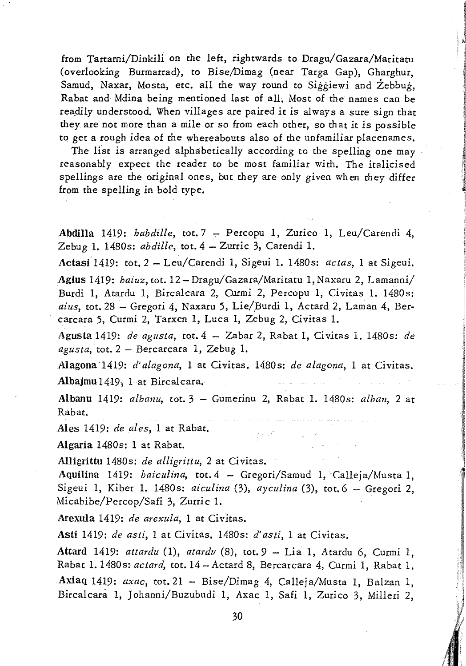from Tartami/Dinkili on the left, rightwards to Dragu/Gazara/Maritatu (overlooking Burmarrad), to Bise/Dimag (near Targa Gap), Gharghur, Samud, Naxar, Mosta, etc. all the way round to *Siggiewi* and Zebbug, Rabat and Mdina being mentioned last of alL Most of the names can be readily understood. When villages are paired it is always a sure sign that they are not more than a mile or so from each other, so that *it is* possible to get a rough idea of the whereabouts also of the unfamiliar placenames.

The list is arranged alphabetically according to the spelling one may reasonably expect the reader to be most familiar with. The italicised spellings are the original ones, but they are. only given when they differ from the spelling in bold type.

Abdilla 1419: *habdille*, tot. 7 - Percopu 1, Zurico 1, Leu/Carendi 4, Zebug 1. 1480s: *abdille,* tot. 4 - Zurric 3, Carendi 1.

Actasi 1419: tot. 2 - Leu/Carendi 1, *Sigeui* 1. 1480s: *aetas,* 1 at Sigeui. :Agius 1419: *haiuz,* tot. 12 - Dragu/Gazara/Maritatu 1, Naxaru 2, Lamanni/ Burdi 1, Atardu 1, Bircalcara 2, Curmi 2, Percopu 1, Civitas 1. 1480s: *aius,* tot. 28 - *Gregori* 4, Naxaru 5, Lie/Burdi 1, Actard 2, Laman 4, Bercarcara 5, Curmi 2, Tarxen 1, Luca 1, Zebug 2, Civitas 1.

Agusta 1419: *de agusta,* tot.4 - Zabar 2, Rabat 1, Civitas 1. 1480s: *de agusta,* tot. 2 - Bercarcara 1, Zebug 1.

Alagona'1419: *d'alagona,* 1 at Civitas. 1480s: *de alagona,* 1 at Civitas. Albajmu 1419, 1 at Bircalcara.

Albanu 1419: *albanu,* tot. 3 - Gumerinu 2, Rabat 1. 1480s: *alban,* 2 at Rabat.

ingar of .

Ales 1419: *de ales,* 1 at Rabat.

AIgaria 1480s: 1 at Rabat.

Alligrittu 1480s: *de alligrittu,* 2 at Civitas.

Aquilina 1419: *haiculina*, tot. 4 - Gregori/Samud 1, Calleja/Musta 1, Sigeui 1, *Kiber* 1. 1480s: *aiculina* (3), *ayculina* (3), tot.6 - *Gregori 2,*  Micabibe/Percop/Safi 3, Zurric 1.

Arexula 1419: *de arexula,* 1 at Civitas.

Asti 1419: *de asti,* 1 at Civitas. 1480s: *d' asti,* 1 at Civitas.

Attard 1419: *attardu* (1), *atardv* (8), tot. 9 - Lia 1, Atardu 6, Curmi 1, Rabat 1. 1480s: *actard,* tot. 14 - Actard 8, Bercarcara 4, Curmi 1, Rabat 1. Axiaq 1419: *axac,* tot.21 - Bise/Dimag 4, Calleja/Musta 1, Balzan 1, Bircalcara 1, Johanni/Buzubudi 1, Axac 1, Safi 1, Zurico 3, Milleri 2,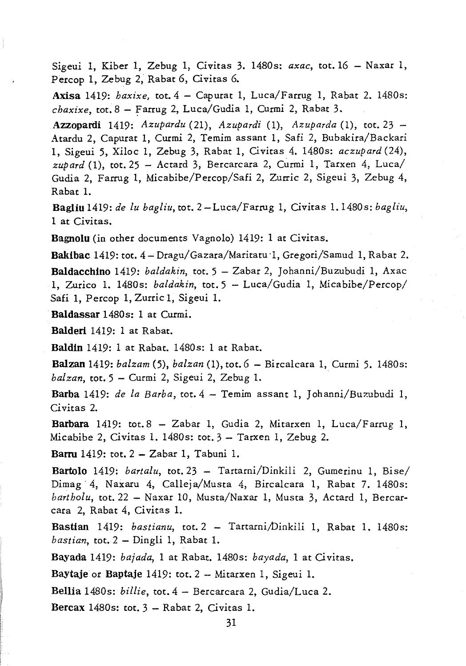Sigeui 1, Kiber 1, Zebug 1, Civitas 3. 1480s: *axac,* tot. 16 - Naxar 1, Percop 1, Zebug 2, Rabat 6, Civitas 6.

Axisa 1419: *haxixe,* tot. 4 - Capurat 1, Luca/Farrug 1, Rabat 2. 1480s: *chaxixe*, tot. 8 - Farrug 2, Luca/Gudia 1, Curmi 2, Rabat 3.

Azzopardi 1419: *Azupardu* (21), *Azupardi* (1), *Azuparda* (1), tot. 23 - Atardu 2, Capurat 1, Curmi 2, Temim assant 1, Safi 2, Bubakira/Backari *1, Sigeui* 5, Xiloc 1, Zebug 3, Rabat 1, Civitas 4. 1480s: *aczupard (24),*   $zubard$  (1), tot. 25 - Actard 3, Bercarcara 2, Curmi 1, Tarxen 4, Luca/ Gudia 2, Farrug 1, Micabibe/Percop/Safi 2, Zurric 2, Sigeui 3, Zebug 4, Rabat 1.

Bagliu 1419: *de lu bagliu,* tot. 2-Luca/Farrug 1, Civitas 1. 1480s: *bagliu,*  1 at Civitas.

Bagnolu (in other documents Vagnolo) 1419: 1 at Civitas.

Bakibac 1419: tot. 4 - Dragu/Gazara/Maritatu '1, Gregori/Samud 1, Rabat 2.

Baldacchino 1419: *baldakin*, tot. 5 - Zabar 2, Johanni/Buzubudi 1, Axac 1, Zurico 1. 1480s: *baldakin,* tot.5 - Luca/Gudia 1, Micabibe/Percop/ Safi 1, Percop 1, Zurric 1, Sigeui 1.

Baldassar 1480s: 1 at Curmi.

Balderi 1419: 1 at Rabat.

Baldin 1419: 1 at Rabat. 1480s: 1 at Rabat.

Balzan 1419: *balzam* (5), *balzan* (1), tot. 6 - Bircalcara 1, Curmi 5. 1480s: *balzan,* tot. 5 - Curmi 2, Sigeui 2, Zebug 1.

Barba 1419: *de la Barba*, tot. 4 - Temim assant 1, Johanni/Buzubudi 1, Civitas 2.

Barbara 1419: tot.8 - Zabar 1, Gudia 2, Mitarxen 1, Luca/Farrug 1, Micabibe 2, Civitas 1. 1480s: tot. 3 - Tarxen 1, Zebug 2.

Barm 1419: tot. 2 - Zabar 1, Tabuni l.

Bartolo 1419: *bartalu,* tot.23 - Tartarni/Dinkili 2, Gumerinu 1, *Bise/*  Dimag·4, Naxaru 4, Calleja/Musta 4, Bircalcara 1, Rabat 7. 1480s: *bartholu,* tot. 22 - Naxar 10, Musta/Naxar 1, Musta 3, Actard 1, Bercarcara 2, Rabat 4, Civitas 1.

Bastian 1419: *bastianu*, tot. 2 - Tartarni/Dinkili 1, Rabat 1, 1480s: *bastian,* tot. 2 - Dingli 1, Rabat 1.

Bayada 1419: *bajada,* 1 at Rabat. 1480s: *bayada,* 1 at Civitas.

Baytaje or Baptaje 1419: tot. 2 - Mitarxen 1, *Sigeui* 1.

Bellia 1480s: *billie,* tot. 4 - Bercarcara 2, Gudia/Luca 2.

Bercax 1480s: tot.  $3 -$  Rabat 2, Civitas 1.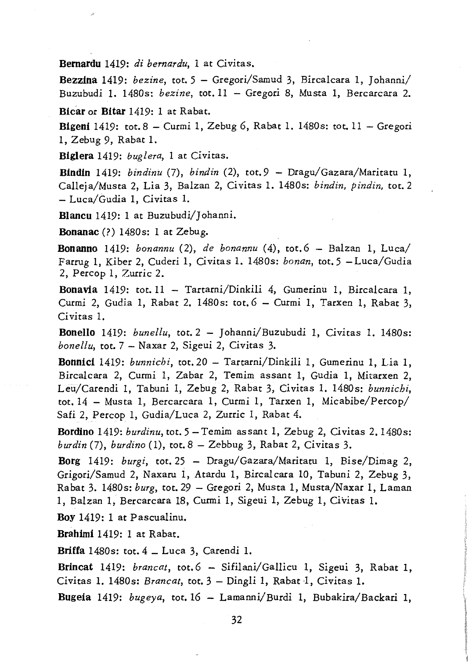**Bemardu** 1419: *di bernardu,* 1 at Civitas.

**Bezzina** 1419: *bezine,* tot. 5 - Gregori/Samud 3, Bircalcara 1, Johanni/ Buzubudi 1. 1480s: *bezine,* tot. 11 - Gregori 8, Musta 1, Bercarcara 2.

**Bicar** or **Bitar** 1419: 1 at Rabat.

**Blgenl** 1419: tot. 8 - Curmi 1, Zebug 6, Rabat 1. 1480s: tot. 11 - Gregori 1, Zebug 9, Rabat 1.

**Biglera** 1419: *bug I era,* 1 at Civitas.

**Bindin** 1419: *bindinu* (7), *bindin* (2), tot.9 - Dragu/Gazara/Maritatu 1, Calleja/Musta 2, Lia 3, Balzan 2, Civitas 1. 1480s: *bindin, pindin,* tot. 2 - Luca/Gudia 1, Civitas 1.

**Blancu** 1419: 1 at Buzubudi/Johanni.

**Bonanac** (?) 1480s: 1 at Zebug.

**Bonanno** 1419: *bonannu* (2), *de bonannu* (4), tot.6 - Balzan 1, Luca/ Farrug 1, Kiber 2, Cuderi 1, Civitas 1. 1480s: *bonan,* tot. 5 -Luca/Gudia 2, Percop 1, Zurric 2.

**Bonana** 1419: tot.11 - Tartarni/Dinkili 4, Gumerinu 1, Bircalcara 1, Curmi 2, Gudia 1, Rabat 2, 1480s: tot. 6 - Curmi 1, Tarxen 1, Rabat 3, Civitas 1.

Bonello 1419: *bunellu*, tot. 2 - Johanni/Buzubudi 1, Civitas 1. 1480s: *bonellu,* tot. 7 - Naxar 2, Sigeui 2, Civitas 3.

Bonnici 1419: *bunnichi*, tot. 20 - Tartarni/Dinkili 1, Gumerinu 1, Lia 1, Bircalcara 2, Curmi 1, Zabar 2, Temim assant 1, Gudia 1, Mitarxen 2, Leu/Carendi 1, Tabuni 1, Zebug 2, Rabat 3, Civitas 1. 1480s: *bunnichi,*  tot. 14 - Musta 1, Bercarcara 1, Curmi 1, Tarxen 1, Micabibe/Percop/ Safi 2, Percop 1, Gudia/Luca 2, Zurric 1, Rabat 4.

**Bordino** 1419: *burdinu,* tot. 5 - Temim assant 1, Zebug 2, Civitas 2. 1480s: *burdin* (7), *burdino* (1), tot. 8 - Zebbug 3, Rabat 2, Civitas 3.

**Borg** 1419: *burgi,* tot.25 - Dragu/Gazara/Maritaru 1, Bise/Dimag 2, Grigori/Samud 2, Naxaru 1, Atardu 1, Bircalcara 10, Tabuni 2, Zebug 3, Rabat 3. 1480s: *burg,* tot. 29 - Gregori 2, Musta 1, Musta/Naxar 1, Laman 1, Balzan 1, Bercarcara 18, Curmi 1, Sigeui 1, Zebug 1, Civitas 1.

**Boy** 1419: 1 at Pascualinu.

**Brahim11419:** 1 at Rabat.

**Briffa** 1480s: tot. 4 \_ Luca 3, Carendi 1.

**Brincat** 1419: *brancat,* tot.6 - Sifilani/Gallicu 1, Sigeui 3, Rabat 1, Civitas 1. 1480s: *Brancat,* tot. 3 - Dingli 1, Rabat 1, Civitas 1.

**Bugeia** 1419: *bugeya,* tot. 16 - Lamanni/Burdi 1, Bubakira/Backari 1,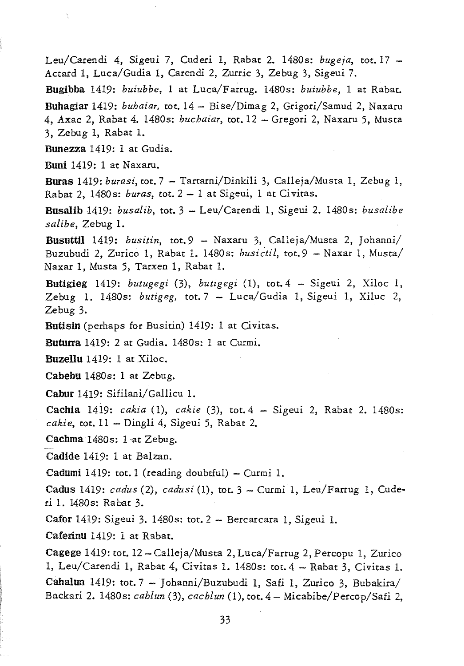Leu/Carendi 4, Sigeui 7, Cuderi 1, Rabat 2. 1480s: *bugeja,* tot. 17 - Actard 1, Luca/Gudia 1, Carendi 2, Zurric 3, Zebug 3, Sigeui 7.

Bugibba 1419: *buiubbe,* 1 at Luca/Farrug. 1480s: *buiubbe,* 1 at Rabat. Buhagiar 1419: *buhaiar,* tot. 14 - Bise/Dimag 2, Grigori/Samud 2, Naxaru 4, Axac 2, Rabat 4. 1480s: *buehaiar,* tot. 12 - Gregori 2, Naxaru 5, Musta 3, Zebug 1, Rabat 1.

Bunezza 1419: 1 at Gudia.

Bun11419: 1 at Naxaru.

Buras 1419: *burasi,* tot. 7 - Tartarni/Dinkili 3, Calleja/Musta 1, Zebug 1, Rabat 2, 1480 s: *buras,* tot. 2 - 1 at Sigeui, 1 at Ci vitas.

Busalib 1419: *busalib,* tot. 3 - Leu/Carendi 1, *Sigeui* 2. 1480s: *busalibe salibe,* Zebug 1.

Busuttil 1419: *busitin,* tot.9 - Naxaru 3, Calleja/Musta 2, Johanni/ Buzubudi 2, Zurico 1, Rabat 1. 1480s: busictil, tot.9 - Naxar 1, Musta/ Naxar 1, Musta 5, Tarxen 1, Rabat 1.

Butigieg 1419: *butugegi* 0), *butigegi* (1), tot.4 - Sigeui 2, Xiloc 1, Zebug 1. 1480s; *butigeg,* tot.7 - Luca/Gudia 1, *Sigeui* 1, Xiluc 2, Zebug 3.

Butisin (perhaps for Busicin) 1419: 1 at Civitas.

Buturra 1419: 2 at Gudia. 1480s: 1 at Curmi.

Buzellu 1419: 1 at Xiloc.

Cabebu 1480s: 1 at Zebug.

Cabur 1419: Sifilani/Gallicu 1.

Cachia 14i9: *eakia* (1), *cakie* (3), tot.4 - Sigeui 2, Rabat 2. 1480s: *cakie,* tot. 11 - Dingli 4, *Sigeui* 5, Rabat 2.

Cachma 1480s: 1 at Zebug.

Cadide 1419: 1 at Balzan.

Cadumi 1419: tot. 1 (reading doubtful)  $-$  Curmi 1.

Cadus 1419: *cadus* (2), *cadusi* (1), tot. 3 - Curmi 1, Leu/Farrug 1, Cuderi 1. 1480s: Rabat 3.

Cafor 1419: Sigeui 3. 1480s: tot. 2 - Bercarcara 1, Sigeui 1.

Caferinu 1419: 1 at Rabat.

Cagege 1419: tot. 12 - Calleja/Musta 2, Luca/Farrug 2, Percopu 1, Zurico 1, Leu/Carendi 1, Rabat 4, Civitas 1. 1480s: tot. 4 - Rabat 3, Civitas l. Cahalun 1419: tot. 7 - Johanni/Buzubudi 1, Safi 1, Zurico 3, Bubakira/ Backari 2. 1480s: *cahlun* (3), *eachlun* (1), tot. 4 - Micabibe/Percop/Safi 2,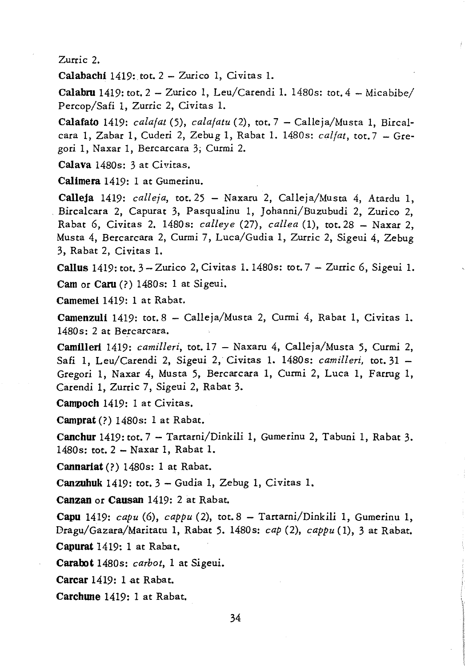Zurric 2.

Calabachi 1419: tot.  $2 -$  Zurico 1, Civitas 1.

Calabru 1419: tot.  $2 - \text{Zurico 1}$ , Leu/Carendi 1. 1480s: tot.  $4 - \text{Michaelo}/$ Percop/Safi I, Zurric 2, Civitas 1.

Calafato 1419: *calafat* (5), *calafatu* (2), tot. 7 - Calleja/Musta I, Bircalcara I, Zabar I, Cuderi 2, Zebug I, Rabat 1. 14805: *calfat,* tot.7 - Gregori I, Naxar I, Bercarcara 3; Curmi 2.

Calava 1480s: 3 at Civitas.

Callmera 1419: 1 at Gumerinu.

Calleja 1419: *calleja,* tot.25 - Naxaru 2, Calleja/Musta 4, Atardu 1, Bircalcara 2, Capurat 3, Pasqualinu I, Johanni/Buzubudi 2, Zurico 2, Rabat 6, Civitas 2. 14805: *calleye* (27), *callea* (1), tot.28 - Naxar 2, Musta 4, Bercarcara 2, Curmi 7, Luca/Gudia I, Zurric 2, Sigeui 4, Zebug 3, Rabat 2, Civitas 1.

Callus 1419: tot. 3 - Zurico 2, Civitas 1. 14805: tot. 7 - Zurric 6, Sigeui 1. Cam or Caru (?) 1480s: 1 at Sigeui.

Camemei 1419: 1 at Rabat.

Camenzuli 1419: tot. 8 - Calleja/Musta 2, Curmi 4, Rabat 1, Civitas 1. 14805: 2 at Bercarcara.

Camilleri 1419: *camilleri*, tot. 17 - Naxaru 4, Calleja/Musta 5, Curmi 2. Safi 1, Leu/Carendi 2, Sigeui 2, Civitas 1. 14805: *camilleri,* tot. 31 - Gregori 1, Naxar 4, Musta 5, Bercarcara 1, Curmi 2, Luca 1, Farrug 1, Carendi I, Zurric 7, Sigeui 2, Rabat 3.

Campoch 1419: 1 at Civitas.

Camprat (?) 14805: 1 at Rabat.

Canchur 1419: tot. 7 - Tartarni/Dinkili 1, Gumerinu 2, Tabuni 1, Rabat 3. 1480s: tot. 2 - Naxar I, Rabat 1.

Cannariat (?) 1480s: 1 at Rabat.

Canzuhuk 1419: tot.  $3 -$  Gudia 1, Zebug 1, Civitas 1.

Canzan or Causan 1419: 2 at Rabat.

**Capu** 1419:  $capu$  (6),  $capu$  (2), tot. 8 - Tartarni/Dinkili 1, Gumerinu 1, Dragu/Gazara/Maritatu 1, Rabat 5. 14805: *cap* (2), *cappu* (1), 3 at Rabat.

Capurat 1419: 1 at Rabat.

Carabot 1480s: *carbot*, 1 at Sigeui.

Carcar 1419: 1 at Rabat.

Carchune 1419: 1 at Rabat.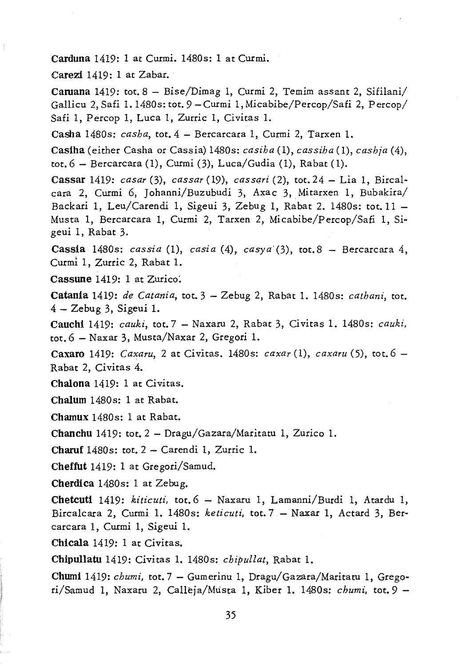Carduna 1419: 1 at Curmi. 1480s: 1 at Curmi.

Carezi 1419: 1 at Zabar.

Caruana 1419: tot.  $8 - \text{Bise/Dimag } 1$ , Curmi 2, Temim assant 2, Sifilani/ Gallicu 2, Safi 1. 1480s: tot. 9 - Curmi 1, Micabibe/Percop/Safi 2, Percop/ Safi 1, Percop 1, Luca 1, Zurric 1, Civitas 1.

Casha 1480s: *casha*, tot. 4 - Bercarcara 1, Curmi 2, Tarxen 1.

Casiha (either Casha or Cassia) 14805: *casiha* (1), *cassiha* (1), *casbja (4),*  tot. 6 - Bercarcara (1), Curmi (3), Luca/Gudia (1), Rabat (1).

Cassar 1419: *casar* (3), *cassar* (19), *cassari* (2), tot. 24 - Lia 1, Bircalcara 2, Curmi 6, Johanni/Buzubudi 3, Axac 3, Mitarxen 1, Bubakira/ Backari 1, Leu/Carendi 1, Sigeui 3, Zebug 1, Rabat 2. 1480s: tot. 11 -Musta 1, Bercarcara 1, Curmi 2, Tarxen 2, Micabibe/Percop/Safi 1, *Si*geui 1, Rabat 3.

Cassia 14805: *cassia* (1), *casia* (4), *casya·(3),* tot.8 - Bercarcara 4, Curmi 1, Zurric 2, Rabat 1.

Cassune 1419: 1 at Zurico.

Catania 1419: *de Catania,* tot. 3 - Zebug 2, Rabat 1. 14805: *cathani,* tot. 4 - Zebug 3, Sigeui 1.

Cauchi 1419: *cauki,* tot. 7 - Naxaru 2, Rabat 3, Civitas 1. 14805: *cauki,*  tot. 6 - Naxar 3, Musta/Naxar 2, Gregori 1.

Caxaro 1419: *Caxaru,* 2 at Civitas. 14805: *caxar* (1), *caxaru* (5), tot. 6 - Rabat 2, Civitas 4.

Chalona 1419: 1 at Civitas.

Chalum 14805: 1 at Rabat.

Chamux 14805: 1 at Rabat.

Chanchu 1419: tot.  $2 - \text{Draw/Gazara/Maritatu 1, Zurico 1.}$ 

Charuf 1480s: tot.  $2 -$  Carendi 1, Zurric 1.

Cheffut 1419: 1 at Gregori/Samud.

Cherdica 1480s: 1 at Zebug.

Chetcuti 1419: *kiticuti,* tot.6 - Naxaru 1, Lamanni/Burdi 1, Atardu 1, Bircalcara 2, *Cunni* 1. 14805: *keticuti,* tot.7 - Naxar 1, Actard 3, Bercarcara 1, Curmi 1, *Sigeui* 1.

Chicala 1419: 1 at Civitas.

Chipullatu 1419: Civitas 1. 14805: *chipullat,* Rabat 1.

Chumi 1419: *chumi,* tot. 7 - Gumerinu 1, Dragu/Gazara/Maritatu 1, Gregori/Samud 1, Naxaru 2, Calleja/Musta 1, Kiber 1. 1480s: *chumi,* tot. 9 -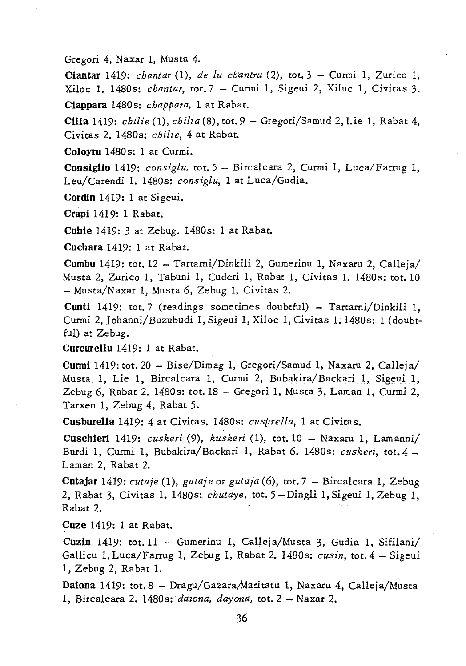Gregori 4, Naxar 1, Musta 4.

**Ciantar** 1419: *chantar* (1), *de lu chantru* (2), tot. 3 - Curmi 1, Zurico 1, Xiloc 1. 1480s: *chantar,* tot.7 - Curmi 1, *Sigeui* 2, Xiluc 1, Civitas 3. **Ciappara** 1480s: *chappara,* 1 at Rabat.

**Cilia** 1419: *chilie* (1), *ch* ili *a* (8), tot. 9 - Gregori/Samud 2, Lie 1, Rabat 4, Civitas 2. 1480s: *chilie,* 4 at Rabat.

**Coloyru** 1480s: 1 at Curmi.

**Consiglio** 1419: consiglu, tot. 5 - Bircalcara 2, Curmi 1, Luca/Farrug 1, Leu/Carendi 1. 1480s: *consiglu,* 1 at Luca/Gudia.

**Cordin** 1419: 1 at Sigeui.

**Crapi** 1419: 1 Rabat.

**Cubte** 1419: 3 at Zebug. 1480s: 1 at Rabat.

**Cuchara** 1419: 1 at Rabat.

**Cumbu** 1419: tot. 12 - Tartarni/Dinkili 2, Gumerinu 1, Naxaru 2, Calleja/ Musta 2, Zurico 1, Tabuni 1, Cuderi 1, Rabat 1, Civitas 1. 1480s: tot.lO - Musta/Naxar 1, Musta 6, Zebug 1, Civitas 2.

**Cunti** 1419: tot. 7 (readings sometimes doubtful) - Tartarni/Dinkili 1, Curmi 2,] ohanni/Buzubudi 1, Sigeui 1, Xiloc 1, Civitas 1. 1480s: 1 (doubtful) at Zebug.

**Curcurellu** 1419: 1 at Rabat.

**Curmi** 1419: tot. 20 - Bise/Dimag 1, Gregori/Samud 1, Naxaru 2, Calleja/ Musta 1, Lie 1, Bircalcara 1, Curmi 2, Bubakira/Backari 1, *Sigeui 1,*  Zebug 6, Rabat 2. 1480s: tot. 18 - Gregori 1, Musta 3, Laman 1, Curmi 2, Tarxen 1, Zebug 4, Rabat 5.

**Cusburella** 1419: 4 at Civitas. 1480s: *cusprella,* 1 at Civitas.

**Cuschieri** 1419: *cuskeri* (9), *kuskeri* (1), tot. 10 - Naxaru 1, Lamanni/ Burdi 1, Curmi 1, Bubakira/Backari 1, Rabat 6. 1480s: *cuskeri,* tot. 4 \_ Laman 2, Rabat 2.

**Cutajar** 1419: *cutaje* (1), *gutaje* or *gutaja* (6), tot.7 - Bircalcara 1, Zebug 2, Rabat 3, Civitas 1. 1480s: *chutaye,* tot. 5 - Dingli 1, *Sigeui* 1, Zebug 1, Rabat 2.

**Cuze** 1419: 1 at Rabat.

**Cuzin** 1419: tot.11 - Gumerinu 1, Calleja/Musta 3, Gudia 1, Sifilani/ Gallicu 1, Luca/Farrug 1, Zebug 1, Rabat 2. 1480s: *cusin,* tot. 4 - *Sigeui*  1, Zebug 2, Rabat 1.

**Daiona** 1419: tot.8 - Dragu/Gazara;Maritatu 1, Naxaru 4, Calleja/Musta 1, Bircalcara 2. 1480s: *daiona, dayona,* tot. 2 - Naxar 2.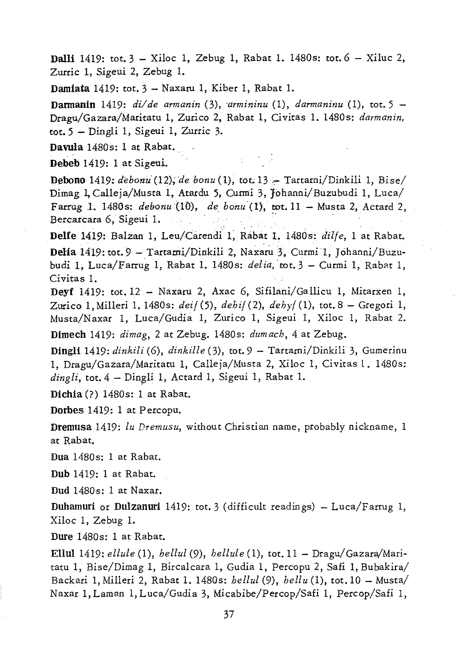**Dalli** 1419: tot.  $3 -$ Xiloc 1, Zebug 1, Rabat 1. 1480s: tot.  $6 -$ Xiluc 2, Zurric 1, Sigeui 2, Zebug 1.

Damiata 1419: tot. 3 - Naxaru 1, Kiber 1, Rabat 1.

Dannanin 1419: *di/de armanin* (3), *'armininu* (1), *darmaninu* (1), tot. 5 - Dragu/Gazara/Maritatu 1, Zurico 2, Rabat 1, Civitas 1. 1480s: *darmanin,*  tot. 5 - Dingli 1, Sigeui 1, Zurric 3.

Davula 1480s: 1 at Rabat.

Debeb 1419: 1 at Sigeui.

**Debono** 1419: *debonu* (12), *de bonu* (1), tot. 13 - Tartarni/Dinkili 1, Bise/ Dimag 1, Calleja/Musta 1, Atardu 5, Curmi 3, Johanni/Buzubudi 1, Luca/ Farrug 1. 1480s: *debonu* (10), *de bonu* (1), tot. 11 - Musta 2, Actard 2, Bercarcara 6, Sigeui 1.

Delfe 1419: Balzan 1, Leu/Carendi 1, Rabat 1, 1480s: *dilfe*, 1 at Rabat. Delia 1419: tot. 9 - Tartami/Dinkili 2, Naxaru 3, Curmi 1, Johanni/Buzubudi I, Luca/Farrug 1, Rabat 1. 1480s: *delia*, tot. 3 - Curmi 1, Rabat 1, Civitas 1.

Deyf 1419: tot. 12 - Naxaru 2, Axac 6, Sifilani/Gallicu 1, Mitarxen 1, Zurico I,Milleri 1. 1480s: *dei/(5), dehi/(2), dehy/(l),* tot. 8 - Gregori 1, Musta/Naxar 1, Luca/Gudia 1, Zurico 1, Sigeui 1, Xiloc 1, Rabat 2. Dimech 1419: *dimag,* 2 at Zebug. 1480s: *dumach,* 4 at Zebug.

Dingli 1419: *dinkili* (6), *dinkille* (3), tot. 9 - Tartarni/Dinkili 3, Gumerinu 1, Dragu/Gazara/Maritatu 1, Calleja/Musta 2, Xiloc 1, Civitas l. 1480s: dingli, tot. 4 - Dingli 1, Actard 1, Sigeui 1, Rabat 1.

Dichia (?) 1480s: 1 at Rabat.

Dorbes 1419: 1 at Percopu.

Drernusa 1419: *lu Dremusu,* without Christian name, probably nickname, 1 at Rabat.

Dua 1480s: 1 at Rabat.

Dub 1419: 1 at Rabat.

Dud 1480s: 1 at Naxar.

Duhamuri or Dulzanuri 1419: tot. 3 (difficult readings) - Luca/Farrug 1, Xiloc 1, Zebug 1.

Dure 1480s: 1 at Rabat.

Ellul 1419: *ellule* (1), *hellul* (9), *hellule* (1), tot. 11 - Dragu/Gazara/Maritatu 1, Bise/Dimag 1, Bircalcara 1, Gudia 1, Percopu 2, Safi 1, Bubakira/ Backari 1, Milleri 2, Rabat 1. 1480s: *hellul* (9), *hellu* (1), tot. 10 - Musta/ Naxar I,Laman 1,Luca/Gudia 3, Micabibe/Percop/Safi 1, Percop/Safi 1,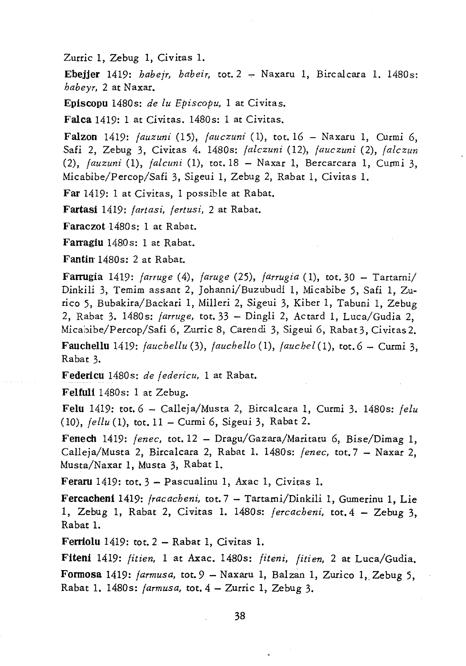Zurric 1, Zebug 1, Civitas 1.

Ebejjer 1419: *habeir, habeir,* tot.  $2 -$  Naxaru 1, Bircalcara 1, 1480s; *habeyr,* 2 at Naxar.

Episcopu 14805: *de Iu Episcopu,* 1 at Civitas.

Falca 1419: 1 at Civitas. 14805: 1 at Civitas.

Falzon 1419: *fauzuni* (15), *fauczuni* (1), tot. 16 - Naxaru 1, Curmi 6, Safi 2, Zebug 3, Civitas 4. 14805: *faIczuni* (12), *fauczuni* (2), *falczun (2), fauzuni* (1), *faIcuni* (1), tot. 18 - Naxar 1, Bercarcara 1, Curmi 3, Micabibe/Percop/Safi 3, Sigeui 1, Zebug 2, Rabat 1, Civitas 1.

Far 1419: 1 at Civitas, 1 possible at Rabat.

Fartasi 1419: *fartasi, fertusi,* 2 at Rabat.

Faraczot 1480s: 1 at Rabat.

Farragiu 14805: 1 at Rabat.

Fantin<sup>1480s: 2</sup> at Rabat.

Farrugia 1419: *farruge* (4), *faruge* (25), *farrugia* (1), tot. 30 - Tartarni/ Dinkili 3, Temim assant 2, Johanni/Buzubudl 1, Micabibe 5, Safi 1, Zurico 5, Bubakira/Backari 1, Milleri 2, Sigeui 3, Kiber 1, Tabuni 1, Zebug 2, Rabat 3. 14805: *farruge,* tot. 33 - Dingli 2, Actard 1, Luca/Gudia 2, Micabibe/Percop/Safi 6, Zurric 8, Carendi 3, Sigeui 6, Rabat 3, Civitas 2.

Fauchellu 1419: *fauchellu* (3), *fauchello* (1), *fauchel* (1), tot. 6 - *Curmi 3,*  Rabat 3.

Federicu 14805: *de federicu,* 1 at Rabat.

Felfuli 14805: 1 at Zebug.

Felu 1419: tot. 6 - CaUeja/Musta 2, Bircalcara 1, Curmi 3. 14805: *felu (10), fellu* (1), tot. 11 - Curmi 6, Sigeui 3, Rabat 2.

Fenech 1419: *fenec,* tot. 12 - Dragu/Gazara/Maritatu 6, Bise/Dimag 1, Calleja/Musta 2, Bircalcara 2, Rabat 1. 1480s: *fenec*, tot. 7 - Naxar 2, Musta/Naxar 1, Musta 3, Rabat 1.

Feraru 1419: tot.  $3$  - Pascualinu 1, Axac 1, Civitas 1.

Fercacheni 1419: *fracacheni,* tot. 7 - Tarcami/Dinkili 1, Gumerinu 1, Lie 1, Zebug 1, Rabat 2, Civitas 1. 14805: *fercacheni,* tot.4 - Zebug 3, Rabat 1.

Ferriolu 1419: tot.  $2 -$  Rabat 1, Civitas 1.

Fiteni 1419: *fitien*, 1 at Axac. 1480s: *fiteni*, *fitien*, 2 at Luca/Gudia. Formosa 1419: *farmusa*, tot. 9 - Naxaru 1, Balzan 1, Zurico 1, Zebug 5, Rabat 1. 14805: *farm us a,* tot. 4 - Zurric 1, Zebug 3.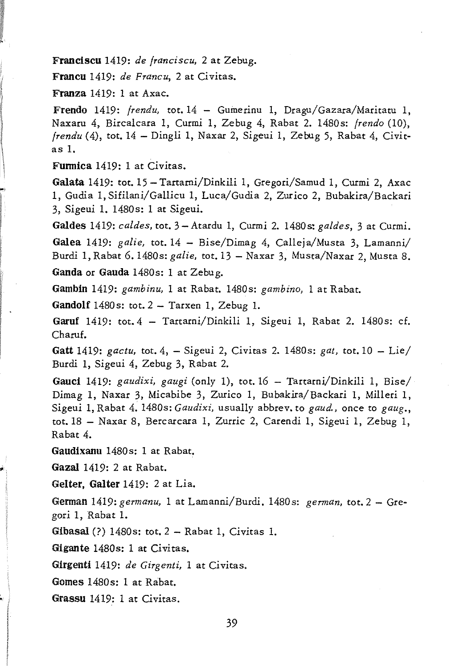Franciscu 1419: *de franciscu,* 2 at Zebug.

Francu 1419: *de Francu,* 2 at Civitas.

Franza 1419: 1 at Axac.

Frendo 1419: *frendu,* tot. 14 - Gumerinu 1, Dragu/Gazara/Maritatu 1, Naxaru 4, Bircalcara 1, Curmi 1, Zebug 4, Rabat 2. 1480s: *frendo (10), frendu* (4), tot. 14 - Dingli 1, Naxar 2, Sigeui 1, Zebug 5, Rabat 4, Civitas 1.

Funnica 1419: 1 at Civitas.

Galata 1419: tot. 15 - Tartarni/Dinkili 1, Gregori/Samud 1, Curmi 2, Axac 1, Gudia I,Sifilani/Gallicu 1, Luca/Gudia 2, Zurico 2, Bubakira/Backari 3, Sigeui 1. 1480s: 1 at Sigeui.

Galdes 1419: *caldes,* tot. 3 - Atardu 1, Curmi 2. 1480 s: *galdes,* 3 at Curmi. Galea 1419: *galie,* tot. 14 - Bise/Dimag 4, Calleja/Musta 3, Lamanni/ Burdi 1, Rabat 6. 1480s: *galie,* tot. 13 - Naxar 3, Musta/Naxar 2, Musta 8. Ganda or Gauda 1480s: 1 at Zebug.

Gambin 1419: *gambinu,* 1 at Rabat. 1480s: *gambino,* 1 at Rabat.

**Gandolf** 1480s: tot.  $2 -$  Tarxen 1, Zebug 1.

Garuf 1419: tot.  $4 - \text{Tartarni/Dinkili}$  1, Sigeui 1, Rabat 2. 1480s: cf. Charuf.

Gatt 1419: *gactu,* tot. 4, - Sigeui 2, Civitas 2. 1480s: *gat,* tot. 10 - Lie/ Burdi 1, Sigeui 4, Zebug 3, Rabat 2.

Gauci 1419: *gaudixi, gaugi* (only 1), tot. 16 - Tartarni/Dinkili 1, Bise/ Dimag 1, Naxar 3, Micabibe 3, Zurico 1, Bubakira/Backari 1, Milleri 1, Sigeui 1, Rabat 4. 1480s: *Gaudixi,* usually abbrev. to *gaud,* once to *gaug.,*  tot. 18 - Naxar 8, Bercarcara 1, Zurric 2, Carendi 1, Sigeui 1, Zebug 1, Rabat 4.

Gaudixanu 1480 s: 1 at Rabat.

Gazal 1419: 2 at Rabat.

Gelter, Galter 1419: 2 at Lia.

Gennan 1419: *germanu,* 1 at Lamanni/Burdi. 1480s: *german,* tot. 2 - Gregori 1, Rabat 1.

Gibasal (?) 1480s: tot. 2 - Rabat 1, Civitas 1.

Gigante 1480s: 1 at Civitas.

Girgenti 1419: *de Girgenti,* 1 at Civitas.

Gomes 1480s: 1 at Rabat.

Grassu 1419: 1 at Civitas.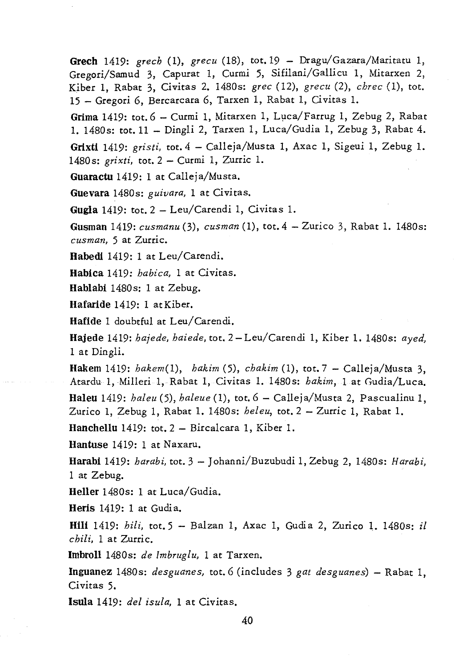**Grech** 1419: *grech* (1), *grecu* (18), tot.19 - Dragu/Gazara/Maritatu 1, Gregori/Samud 3, Capurat 1, Curmi 5, Sifilani/Gallicu 1, Mitarxen 2, Kiber 1, Rabat 3, Civitas 2. 14805: *grec* (12), *grecu* (2), *chrec* (1), tot. 15 - Gregori 6, Bercarcara 6, Tarxen 1, Rabat 1, Civitas 1.

**Grima** 1419: tot. 6 - Curmi 1, Mitarxen 1, Luca/Farrug 1, Zebug 2, Rabat 1. 14805: tot. 11 - Dingli 2, Tarxen 1, Luca/Gudia 1, Zebug 3, Rabat 4.

**Grixti** 1419: *gristi,* tot. 4 - Calleja/Musta 1, Axac 1, Sigeui 1, Zebug 1. *14805: grixti,* tot. 2 - Curmi 1, Zurric 1.

**Guaractu** 1419: 1 at Calleja/Musta.

**Guevara** 14805: *guivara,* 1 at Civitas.

**Gugla** 1419: tot. 2 - Leu/Carendi 1, Civitas 1.

**Gusman** 1419: *cusmanu* (3), *cusman* (1), tot.4 - Zurico 3, Rabat 1. 14805: *cusman,* 5 at *Zurric.* 

**Habedi** 1419: 1 at Leu/Carendi.

**Hablca** 1419: *habica,* 1 at Civitas.

**Hablabi** 14805: 1 at Zebug.

**Hafaride** 1419: 1 atKiber.

**Hafide** 1 doubtful at Leu/Carendi.

**Hajede** 1419: *hajede, haiede,* tot. 2 - Leu/Carendi 1, Kiber 1. 14805: *ayed,*  1 at Dingli.

**Hakem** 1419: *hakem(l), hakim* (5), *chakim* (1), tot. 7 - Calleja/Musta 3, Atardu 1, Milleri 1, Rabat 1, Civitas 1. 14805: *hakim,* 1 at Gudia/Luca. **Haleu** 1419: *haleu* (5), *haleue* (1), tot. 6 - Calleja/Musta 2, Pascualinu 1,

*Zurico* 1, Zebug 1, Rabat 1. 14805: *heleu,* tot. 2 - Zurric 1, Rabat 1.

**Hanchellu** 1419: tot. 2 - Bircalcara 1, Kiber 1.

**Hantuse** 1419: 1 at Naxaru.

**Harabi** 1419: *harabi,* tot. 3 - J ohanni/Buzubudi 1, Zebug 2, 14805: H *arabi,*  1 at Zebug.

**Heller** 14805: 1 at Luca/Gudia.

**Heris** 1419: 1 at Gudia.

**Hili** 1419: *hili,* tot.5 - Balzan 1, Axac 1, Gudia 2, Zurico 1. 14805: if *chili,* 1 at Zurric.

**Imbroll** 14805: *de Imbruglu,* 1 at Tarxen.

**Inguanez** 14805: *desguanes,* tot. 6 (includes 3 *gat desguanes)* - Rabat 1, Civitas 5.

**Isula** 1419: *del isula,* 1 at Civitas.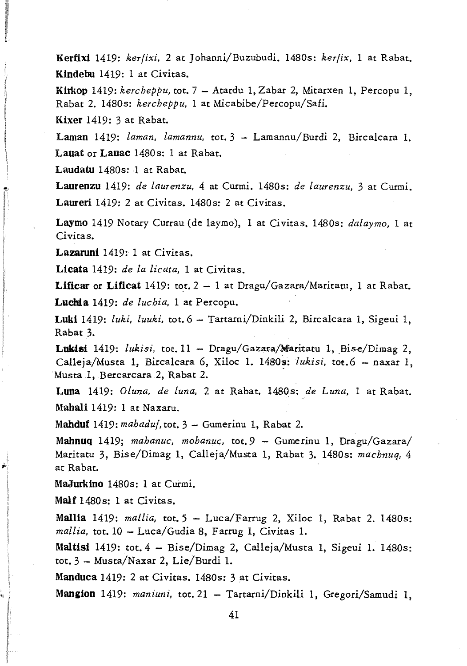**Kerfixi** 1419: *kerfixi,* 2 at J ohanni/Buzubudi. 1480s: *kerfix,* 1 at Rabat. **Kindebu** 1419: 1 at Civitas.

**Kirkop** 1419: *kercheppu,* tot. 7 - Atardu 1, Zabar 2, Mitarxen 1, Percopu 1, Rabat 2. 1480s: *kercheppu,* 1 at Micabibe/Percopu/Safi. **Kixer** 1419: 3 at Rabat.

Laman 1419: *laman, lamannu*, tot. 3 - Lamannu/Burdi 2, Bircalcara 1. **Lauat or Lauae** 1480s: 1 at Rabat.

**Laudatu** 1480s: 1 at Rabat.

**Laurenzu** 1419: *de laurenzu,* 4 at Curmi. 1480s: *de laurenzu,* 3 at Curmi. **Laurer!** 1419: 2 at Civitas. 1480s: 2 at Civitas.

**Laymo** 1419 Notary Currau (de laymo), 1 at Civitas. 1480s: *dalaymo,* 1 at Civitas.

**Lazaruni** 1419: 1 at Civitas.

**Lieata** 1419: *de la licata,* 1 at Civitas.

Lificar or Lificat 1419: tot. 2 - 1 at Dragu/Gazara/Maritatu, 1 at Rabat. **Luchia** 1419: *de luchia,* 1 at Percopu.

Luki 1419: *luki, luuki,* tot. 6 - Tartarni/Dinkili 2, Bircalcara 1, Sigeui 1, Rabat 3.

Lukisi 1419: *lukisi*, tot. 11 - Dragu/Gazara/Maritatu 1, Bise/Dimag 2, Calleja/Musta 1, Bircalcara 6, Xiloc 1. 1480s: *lukisi*, tot.6 - naxar 1, ·Musta 1, Bercarcara 2, Rabat 2.

**Luna** 1419: *Oluna, de luna,* 2 at Rabat. 1480,5: *de Luna,* 1 at Rabat. **Mahali** 1419: 1 at Naxaru.

**Mahduf** 1419: *mahaduf,* tot. 3 - Gumerinu 1, Rabat 2.

**Mahnuq** 1419; *mahanuc, mohanuc;,* tot.9 - Gumerinu 1, Dragu/Gazara/ Maritatu 3, Bise/Dimag 1, Calleja/Musta 1, Rabat 3. 1480s: *machnuq,* 4 at Rabat.

**MaJurkino** 1480s: 1 at Curmi.

**Malf** 1480s: 1 at Civitas.

**Mall1a** 1419: *mallia,* tot. 5 - Luca/Farrug 2, Xiloc 1, Rabat 2. 1480s: *mallia,* tot. 10 - Luca/Gudia 8, Farrug 1, Civitas 1.

**Maltis!** 1419: tot. 4 - Bise/Dimag 2, Calleja/Musta 1, Sigeui 1. 1480s: tot. 3 - Musta/Naxar 2, Lie/Burdi 1.

**Manduea** 1419: 2 at Civitas. 1480s: 3at Civitas.

**Mangion** 1419: *maniuni,* tot. 21 - Tartarni/Dinkili 1, Gregori/Samudi 1,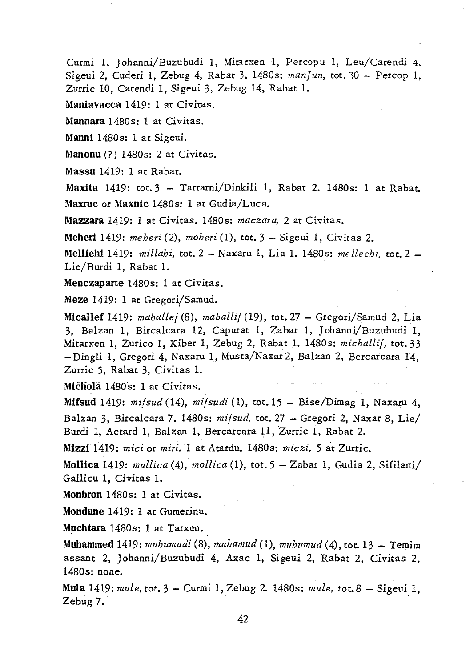Curmi 1, Johanni/Buzubudi 1, Mitarxen 1, Percopu 1, Leu/Carendi 4, Sigeui 2, Cuderi 1, Zebug 4, Rabat 3. 14BOs: *man] un,* tot. 30 - Percop 1, Zurric 10, Carendi 1, Sigeui 3, Zebug 14, Rabat 1.

Maniavacca 1419: 1 at Civitas.

Mannara 1480s: 1 at Civitas.

Manni 14BOs: 1 at Sigeui.

Manonu (?) 14BOs: 2 at Civitas.

Massu 1419: 1 at Rabat.

Maxita 1419: tot.  $3 - \text{Tartarni/Dinkili}$  1, Rabat 2. 1480s: 1 at Rabat. Maxruc or Maxnic 14BOs: 1 at Gudia/Luca.

Mazzara 1419: 1 at Civitas. 14BOs: *maczara,* 2 at Civitas.

Meheri 1419: *meheri* (2), *moheri* (1), tot. 3 - Sigeui 1, Civitas 2.

Melliehi 1419: *millahi,* tot. 2 - Naxaru 1, Lia 1. 14BOs: *mellechi,* tot. 2 - Lie/Burdi 1, Rabat 1.

Menczaparte 14BOs: 1 at Civitas.

Meze 1419: 1 at Gregori/Samud.

Micallef 1419: *mahaZlef (B), mahallif* (19), tot. 27 - Gregori/Samud 2, Lia 3, Balzan 1, Bircalcara 12, Capurat 1, Zabar 1, Johanni/Buzubudi 1, Mitarxen 1, Zurico 1, Kiber 1, Zebug 2, Rabat 1. 14BOs: *michallif,* tot.33 -Dingli 1, Gregori 4, Naxaru 1, Musta/Naxar2, Balzan 2, Bercarcara 14, Zurric 5, Rabat 3, Civitas 1.

Michola 14BOs: 1 at Civitas.

Mifsud 1419: *mifsud(14), mifsudi(I),* tot. 15 - Bise/Dimag 1, Naxaru 4, Balzan 3, Bircalcara 7. 1480s: *mifsud,* tot. 27 - Gregori 2, Naxar *B,* Lie/ Burdi 1, Actard 1, Balzan 1, Bercarcara 1l,Zurric 1, Rabat 2.

Mizzi 1419: *mici* or *miri,* 1 at Atardu. 14BOs: *miczi,* 5 at Zurric.

Mollica 1419: *mullica* (4), *mollica* (1), tot. 5 - Zabar 1, Gudia 2, Sifilani/ Gallicu 1, Civitas 1.

Monbron 1480s: 1 at Civitas.

Mondune 1419: 1 at Gumerinu.

Muchtara 1480s: 1 at Tarxen.

Muhammed 1419: *muhumudi* (8), *muhamud(l), muhumud* (4), tot. 13 - Temim assant 2, Johanni/Buzubudi 4, Axac 1, Sigeui 2, Rabat 2, Civitas 2. 1480s: none.

Mula 1419: *mule,* tot. 3 - Curmi 1, Zebug 2. 1480s: *mule,* tot. 8 - Sigeui 1, Zebug 7.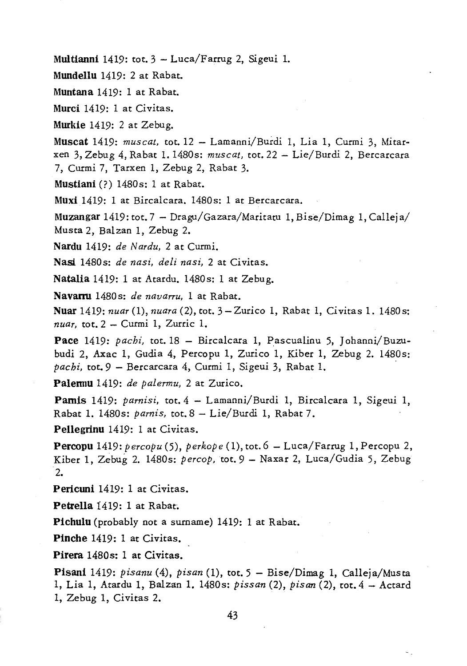Multianni 1419: tot.  $3 -$  Luca/Farrug 2, Sigeui 1.

Mundellu 1419: 2 at Rabat.

Muntana 1419: 1 at Rabat.

Murci 1419: 1 at Civitas.

Murkie 1419: 2 at Zebug.

Muscat 1419: *muscat, tot.* 12 - Lamanni/Burdi 1, Lia 1, Curmi 3, Mitarxen 3, Zebug 4, Rabat 1. 1480s: *muscat,* tot. 22 - Lie/Burdi 2, Bercarcara 7, Curmi 7, Tarxen 1, Zebug 2, Rabat 3.

Mustiani (?) 1480s: 1 at Rabat.

Muxi 1419: 1 at Bircalcara. 1480s: 1 at Bercarcara.

Muzangar 1419: tot. 7 - Dragu/Gazara/Maritatu 1, Bise/Dimag 1, Calleja/ Musta 2, Balzan 1, Zebug 2.

Nardu 1419: *de Nardu*, 2 at Curmi.

Nasi 1480s: *de nasi, deli nasi,* 2 at Civitas.

Natalia 1419: 1 at Atardu. 1480s: 1 at Zebug.

Navarru 1480s: *de navarru,* 1 at Rabat.

Nuar 1419: *nuar* (1), *nuara* (2), tot. 3 - Zurico 1, Rabat 1, Civitas 1. 1480s: *nuar,* tot. 2 - Curmi 1, Zurric 1.

Pace 1419: *pachi*, tot. 18 - Bircalcara 1, Pascualinu 5, Johanni/Buzubudi 2, Axac 1, Gudia 4, Percopu 1, Zurico 1, Kiber 1, Zebug 2. 1480s: pachi, tot. 9 - Bercarcara 4, Curmi 1, Sigeui 3, Rabat 1.

Palennu 1419: *de palermu,* 2 at Zurico.

Pamis 1419: *parnisi*, tot. 4 - Lamanni/Burdi 1, Bircalcara 1, Sigeui 1, Rabat 1. 1480s: *pamis,* tot. 8 - Lie/Burdi 1, Rabat 7.

Pellegrinu 1419: 1 at Civitas.

Percopu 1419: *p ercopu* (5), *perkope* (1), tot. 6 - Luca/Farrug 1, Percopu 2, Kiber 1, Zebug 2. 1480s: *percop, tot.* 9 - Naxar 2, Luca/Gudia 5, Zebug 2.

Pericuni 1419: 1 at Civitas.

Petrella 1419: 1 at Rabat.

Pichulu (probably not a surname) 1419: 1 at Rabat.

Pinche 1419: 1 at Civitas.

Pirera 1480s: 1 at Civitas.

Pisani 1419: *pisanu* (4), *pisan* (1), tot. 5 - Bi5e/Dimag 1, Calleja/Musta 1, Lia 1, Atardu 1, Balzan 1. 1480s: *pissan* (2), *pisan* (2), tot. 4 - Actard 1, Zebug 1, Civitas 2.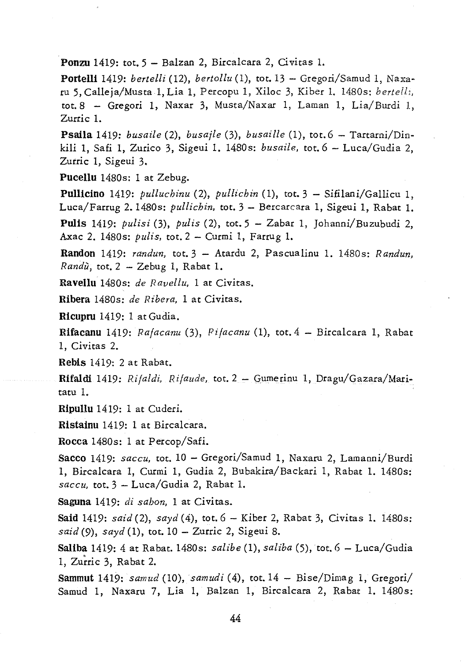Ponzu 1419: tot. 5 - Balzan 2, Bircalcara 2, Civitas 1.

Portelli 1419: *bertelli* (12), *bertollu* (1), tot. 13 - Gregori/Samud 1, Naxaru 5, Calleja/Musta 1, Lia 1, Percopu 1, Xiloc 3, Kiber 1. 1480s: *bertell:,*  tot.8 - Gregori 1, Naxar 3, Musta/Naxar 1, Laman 1, Lia/Burdi 1., Zurric 1.

Psaila 1419: *busaile* (2), *busajle* (3), *busai!le* (1), tot.6 - Tartarni/Dinkili 1, Safi 1, Zurico 3, Sigeui 1. 1480s: *busaile,* tot. 6 - Luca/Gudia 2, Zutric 1, *Sigeui 3.* 

Pucellu 1480s: 1 at Zebug.

Pullicino 1419: *pulluchinu* (2), *pullichin* (1), tot. 3 - Sifilani/Gallicu 1, Luca/Farrug 2. 1480s: *pullichin,* tot. 3 - Bercarcara 1, Sigeui 1, Rabat 1.

Pulis 1419: *pulisi* (3), *pulis* (2), tot. 5 - Zabar 1, Johanni/Buzubudi 2, Axac 2. 1480s: *pulis*, tot. 2 - Curmi 1, Farrug 1.

Randon 1419: *randun,* tot. 3 - Atardu 2, Pascualinu 1. 1480s: *Randun, Randu,* tot. 2 - Zebug 1, Rabat 1.

Ravellu 1480s: *de Raveliu,* 1 at Civitas.

Ribera 1480s: *de Ribera,* 1 at Civitas.

Ricupru 1419: 1 at Gudia.

Rifacanu 1419: *Rajacanu* (3), *Pijacanu* (1), tot. 4 - Bircalcara 1, Rabat 1, Civitas 2.

Rebis 1419: 2 at Rabat.

Rifaldi 1419: *Rijaldi, Rijaude,* tot. 2 - Gumerinu 1, Dragu/Gazara/Maritatu l.

Ripullu 1419: 1 at Cuderi.

Ristainu 1419: 1 at Bircalcara.

Rocca 1480s: 1 at Percop/Safi.

Sacco 1419: *saccu*, tot. 10 - Gregori/Samud 1, Naxaru 2, Lamanni/Burdi 1, Birca1cara 1, Curmi 1, Gudia 2, Bubakira/Backari 1, Rabat 1. 1480s: *saccu,* tot. 3 - Luca/Gudia 2, Rabat 1.

Saguna 1419: *di sahon,* 1 at Civitas.

Said 1419: *said* (2), *sayd* (4), tot. 6 - Kiber 2, Rabat 3, Civitas 1. 1480s: *said* (9), *sayd* (1), tot. 10 - Zurric 2, Sigeui 8.

Saliba 1419: 4 at Rabat. 1480s: *salibe* (1), *saliba* (5), tot. 6 - Luca/Gudia 1, Zurric 3, Rabat 2.

Sammut 1419: *samud* (10), *samudi* (4), tot. 14 - Bise/Dimag 1, Gregori/ Samud 1, Naxaru 7, Lia 1, Balzan 1, Bircalcara 2, Rabat 1. 1480s: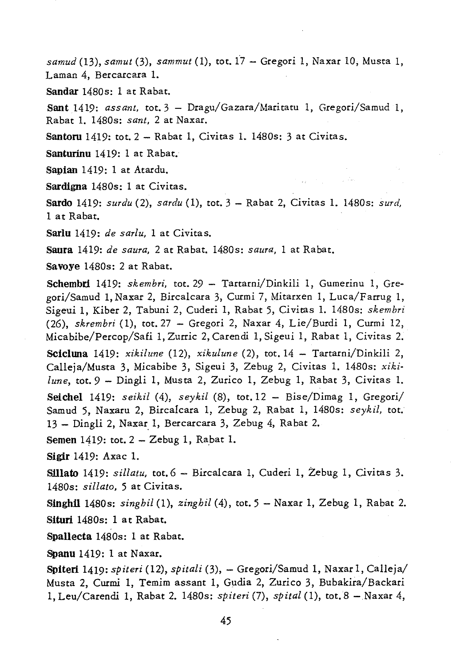*samud* (13), *samut* (3), *sammut* (1), tot. t'7 - Gregori 1, Naxar 10, Musta 1, Laman 4, Bercarcara 1.

Sandar 1480s: 1 at Rabat.

Sant 1419: *ass ant,* tot. 3 - Dragu/Gazara/Maritatu 1, Gregori/Samud 1, Rabat 1. 1480s: *sant,* 2 at Naxar.

Santoru 1419: tot. 2 - Rabat 1, Civitas 1. 1480s: 3 at Civitas.

Santurinu 1419: 1 at Rabat.

Sapian 1419: 1 at Atardu.

Sardigna 1480s: 1 at Civitas.

Sardo 1419: *surdu* (2), *sardu* (1), tot. 3 - Rabat 2, Civitas 1. 1480s: *surd,*  1 at Rabat.

SarIu 1419: *de sarlu,* 1 at Civitas.

Saura 1419: *de saura,* 2 at Rabat. 1480s: *saura,* 1 at Rabat.

Savoye 1480s: 2 at Rabat.

Schembri 1419: *skembri*, tot. 29 - Tartarni/Dinkili 1, Gumerinu 1, Gregori/Samud 1, Naxar 2, Bircalcara 3, Curmi 7, Mitarxen 1, Luca/Farrug 1, Sigeui 1, Kiber 2, Tabuni 2, Cuderi 1, Rabat 5, Civitas 1. 1480s: *skembri (26), skrembri* (1), tot. 27 - Gregori 2, Naxar 4, Lie/Burdi 1, Curmi 12, Micabibe/Percop/Safi 1, Zurric 2, Carendi 1, Sigeui 1, Rabat 1, Civitas 2.

SCicluna 1419: *xikilzme* (12), *xikulune* (2), tot. 14 - Tartarni/Dinkili 2, Calleja/Musta 3, Micabibe 3, Sigeui 3, Zebug 2, Civitas 1. 1480s: *xikilune,* tot. 9 - Dingli 1, Musta 2, Zurico 1, Zebug 1, Rabat 3, Civitas 1. Seichel 1419: *seikil* (4), *seykil* (8), tot. 12 - Bise/Dimag 1, Gregori/ Samud 5, Naxaru 2, BircaIcara 1, Zebug 2, Rabat 1, 1480s: *seykil,* tot. 13 - Dingli 2, Naxar 1, Bercarcara 3, Zebug 4, Rabat 2.

Semen 1419: tot. 2 - Zebug 1, Rabat 1.

Sigir 1419: Axac 1.

Sillato 1419: *sillatu,* tot. 6 - Bircalcara 1, Cuderi 1, Zebug 1, Civitas 3. 1480s: *sillato,* 5 at Civitas.

Singhil 1480s: *singhil* (1), *zinghil* (4), tot. 5 - Naxar 1, Zebug 1, Rabat 2. Situri 1480s: 1 at Rabat.

Spallecta 1480s: 1 at Rabat.

Spanu 1419: 1 at Naxar.

Spiteri1419: *spiteri* (12), *spitali* (3), - Gregori/Samud 1, Naxar 1, Calleja/ Musta 2, Curmi 1, *Temim* assant 1, Gudia 2, Zurico 3, Bubakira/Backari 1, Leu/Carendi 1, Rabat 2. 1480s: *sp.iteri* (7), *spital* (1), tot. 8 - Naxar 4,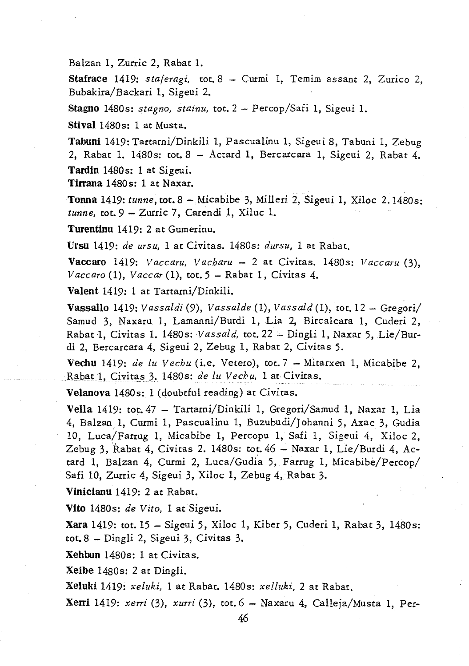Balzan 1, Zurric 2, Rabat l.

Stafrace 1419: *staferagi,* tot. 8 - *Cutmi* 1, Temim assant 2, Zurico 2, Bubakira/Backari I, Sigeui 2.

Stagno 14805: *stagna, stainu,* tot. 2 - Percop/Safi I, Sigeui 1.

Stival 1480s: 1 at Musta.

Tabun! 1419: Tartarni/Dinkili I, Pascualinu I, Sigeui 8, Tabuni I, Zebug 2, Rabat 1. 14805: tot. 8 - Actard 1, Bercarcara 1, Sigeui 2, Rabat 4. Tardin 1480s: 1 at Sigeui. Tirrana 1480s: 1 at Naxar.

Tonna 1419: *tunne,* tot. 8 - Micabibe 3, Milleri 2, Sigeui 1, Xiloc 2.14805: *tunne,* tot. 9 - Zurric 7, Carendi 1, Xiluc 1.

Turentinu 1419: 2 at Gumerinu.

Ursu 1419: *de ursu,* 1 at Civitas. 14805: *dursu,* 1 at Rabat.

Vaccaro 1419: *Vaccaru, Vacharu* - 2 at Civitas. 1480s: *Vaccaru* (3), *Vaccaro* (1), *Vaccar* (1), tot. 5 - Rabat 1, Civitas 4.

Valent 1419: 1 at Tartarni/Dinkili.

**Vassallo** 1419: *Vassaldi* (9), *Vassalde* (1), *Vassald* (1), tot.  $12 - G$ regori Samud 3, Naxaru I, Lamanni/Burdi 1, Lia 2, Bircalcara 1, Cuderi 2, Rabat 1, Civitas 1. 1480s: Vassald, tot. 22 - Dingli 1, Naxar 5, Lie/Burdi 2, Bercarcara 4, Sigeui 2, Zebug 1, Rabat 2, Civitas 5.

Vechu 1419: *de lu Vechu* (i.e. Vetero), tot. 7 - Mitarxen 1, Micabibe 2, Rabat 1, Civitas 3. 14805: *de lu Veeh u,* 1 at Civitas.

Velanova 14805: 1 (doubtful reading) at Civitas.

Vella 1419: tot.47 - Tartarni/Dinkili 1, Gregori/Samud 1, Naxar 1, Lia 4, Balzan 1, Curmi 1, Pascualinu 1, Buzubudi/Johanni 5, Axac 3, Gudia 10, Luca/Farrug 1, Micabibe 1, Percopu 1, Safi 1, Sigeui 4, Xiloc 2, Zebug 3, Rabat 4, Civitas 2. 14805: tot. 46 - Naxar 1, Lie/Burdi 4, Actard 1, Balzan 4, Curmi 2, Luca/Gudia 5, Farrug 1, Micabibe/Percop/ Safi 10, Zurric 4, *Sigeui* 3, Xiloc 1, Zebug 4, Rabat 3.

Vinicianu 1419: 2 at Rabat.

Vito 1480s: *de Vito*, 1 at Sigeui.

Xara 1419: tot. 15 - *Sigeui* 5, Xiloc 1, Kiber 5, Cuderi 1, Rabat 3, 14805: tot. 8 - Dingli 2, Sigeui 3, Civitas 3.

Xehbun 14805: 1 at Civitas.

Xeibe 14805: 2 at Dingli.

Xeluki 1419: *xeluki,* 1 at Rabat. 14805: *xelluki,* 2 at Rabat.

Xerri 1419: *xerri* (3), *xurri* (3), tot. 6 - Naxaru 4, Calleja/Musta 1, Per-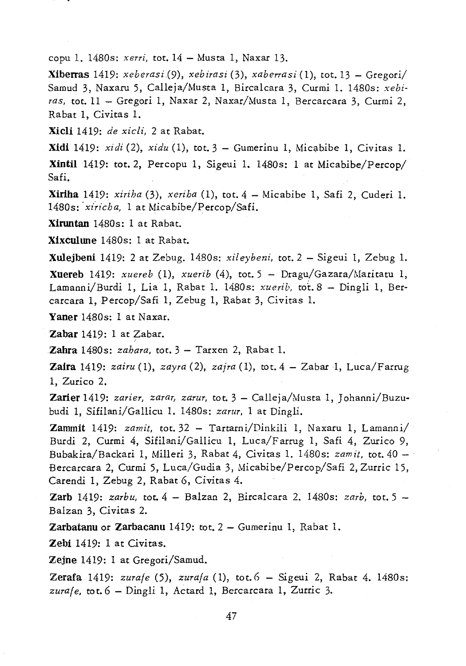copu 1. 1480s: *xerri,* tot. 14 - Musta 1, Naxar 13.

Xiberras 1419: *xeberasi* (9), *xebirasi* 0), *xaberrasi* (1), tot. 13 - Gregori/ Samud 3, Naxaru 5, Calleja/Musta 1, Bircalcara 3, Curmi 1. 1480s: *xebiras,* tot. 11 - Gregori 1, Naxar 2, Naxar/Musta 1, Bercarcara 3, Curmi 2, Rabat 1, Civitas 1.

Xicli 1419: *de xicii,* 2 at Rabat.

Xidi 1419: *xidi* (2), *xidu* (1), tot. 3 - Gumerinu 1, Miqlbibe 1, Civitas l.

Xintil 1419: tot. 2, Percopu 1, Sigeui 1. 1480s: 1 at Micabibe/Percop/ Safi.

Xiriha 1419: *xiriha* (3), *xeriha* (1), tot. 4 - Micabibe 1, Safi 2, Cuderi 1. 1480s: xiricha, 1 at Micabibe/Percop/Safi.

Xiruntan 1480s: 1 at Rabat.

Xixculune 1480s: 1 at Rabat.

Xulejbeni 1419: 2 at Zebug. 1480s: *xileybeni,* tot. 2 - Sigeui 1, Zebug l.

**Xuereb** 1419: *xuereb* (1), *xuerib* (4), tot. 5 - Dragu/Gazara/Maritatu 1, Lamanni/Burdi 1, Lia 1, Rabat 1. 1480s: *xuerib,* tot. 8 - Dingli 1, Bercarcara 1, Percop/Safi 1, Zebug 1, Rabat 3, Civitas l.

Yaner 1480s: 1 at Naxar.

Zabar  $1419:1$  at Zabar.

Zahra 1480s: *zahara,* tot. 3 - Tarxen 2, Rabat 1.

Zaira 1419: *zairu* (1), *zayra* (2), *zajra* (1), tot. 4 - Zabar1, Luca/Farrug 1, Zurico 2.

Zarier 1419: *zarier, zarar, zarur*, tot. 3 - Calleja/Musta 1, Johanni/Buzubudi 1, Sifilani/Gallicu 1. 1480s: *zarur,* 1 at Dingli.

Zammit 1419: *zamit,* tot. 32 - Tartarni/Dinkili 1, Naxaru 1, Lamanni/ Burdi 2, *Curmi* 4, Sifilani/Gallicu 1, Luca/Farrug 1, Safi 4, Zurico 9, Bubakira/Backari 1, Milleri 3, Rabat 4, Civitas 1. 1480s: *zamit*, tot. 40 -Bercarcara 2, Curmi 5, Luca/Gudia 3, Micabibe/Percop/Safi 2, Zurric 15, Carendi 1, Zebug 2, Rabat 6, Civitas 4.

Zarb 1419: *zarbu,* tot. 4 - Balzan 2, Birca1cara 2. 1480s: *zarb,* tot. 5 - Balzan 3, Civitas 2.

Zarbatanu or Zarbacanu 1419: tot.  $2 -$  Gumerinu 1, Rabat 1.

Zebi 1419: 1 at Civitas.

Zejne 1419: 1 at Gregori/Samud.

Zerafa 1419: *zurafe* (5), *zurafa* (1), tot.6 - Sigeui 2, Rabat 4. 1480s: *zura/e,* tot. 6 - Dingli 1, Actard 1, Bercarcara 1, Zurric 3.